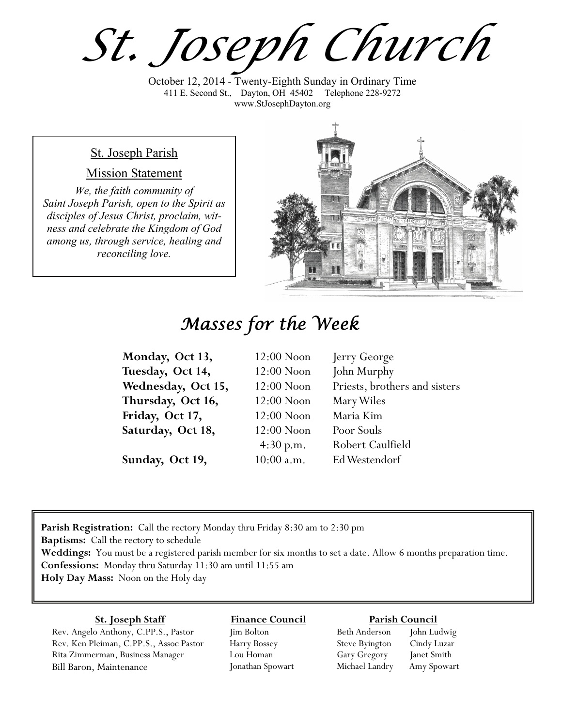*St. Joseph Church*

October 12, 2014 - Twenty-Eighth Sunday in Ordinary Time 411 E. Second St., Dayton, OH 45402 Telephone 228-9272 www.StJosephDayton.org

### St. Joseph Parish

#### Mission Statement

*We, the faith community of Saint Joseph Parish, open to the Spirit as disciples of Jesus Christ, proclaim, witness and celebrate the Kingdom of God among us, through service, healing and reconciling love.*



# *Masses for the Week*

| Monday, Oct 13,    | $12:00$ Noon | Jerry George                  |
|--------------------|--------------|-------------------------------|
| Tuesday, Oct 14,   | $12:00$ Noon | John Murphy                   |
| Wednesday, Oct 15, | $12:00$ Noon | Priests, brothers and sisters |
| Thursday, Oct 16,  | $12:00$ Noon | Mary Wiles                    |
| Friday, Oct 17,    | $12:00$ Noon | Maria Kim                     |
| Saturday, Oct 18,  | $12:00$ Noon | Poor Souls                    |
|                    | 4:30 p.m.    | Robert Caulfield              |
| Sunday, Oct 19,    | $10:00$ a.m. | Ed Westendorf                 |

**Parish Registration:** Call the rectory Monday thru Friday 8:30 am to 2:30 pm **Baptisms:** Call the rectory to schedule **Weddings:** You must be a registered parish member for six months to set a date. Allow 6 months preparation time. **Confessions:** Monday thru Saturday 11:30 am until 11:55 am **Holy Day Mass:** Noon on the Holy day

#### **St. Joseph Staff**

Rev. Angelo Anthony, C.PP.S., Pastor Rev. Ken Pleiman, C.PP.S., Assoc Pastor Rita Zimmerman, Business Manager Bill Baron, Maintenance

**Finance Council** Jim Bolton Harry Bossey

Lou Homan Jonathan Spowart

#### **Parish Council**

Beth Anderson John Ludwig Steve Byington Cindy Luzar Gary Gregory Janet Smith Michael Landry Amy Spowart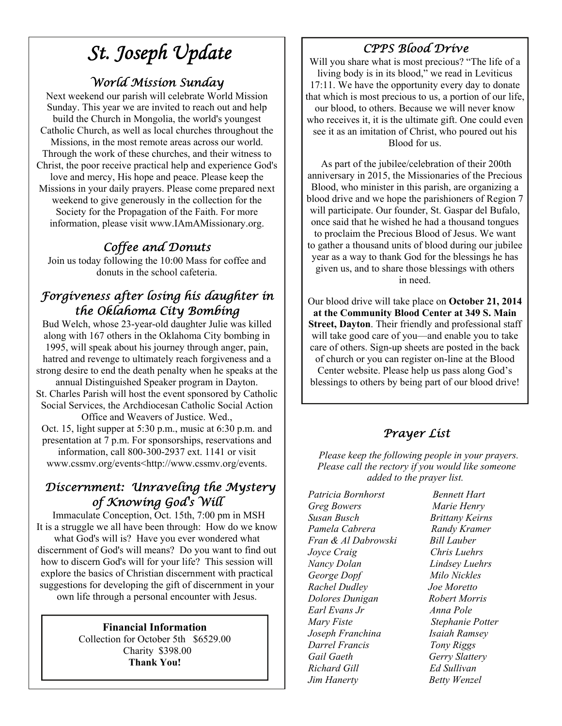# *St. Joseph Update*

## *World Mission Sunday*

Next weekend our parish will celebrate World Mission Sunday. This year we are invited to reach out and help build the Church in Mongolia, the world's youngest Catholic Church, as well as local churches throughout the Missions, in the most remote areas across our world. Through the work of these churches, and their witness to Christ, the poor receive practical help and experience God's love and mercy, His hope and peace. Please keep the Missions in your daily prayers. Please come prepared next weekend to give generously in the collection for the Society for the Propagation of the Faith. For more information, please visit www.IAmAMissionary.org.

## *Coffee and Donuts*

Join us today following the 10:00 Mass for coffee and donuts in the school cafeteria.

## *Forgiveness after losing his daughter in the Oklahoma City Bombing*

Bud Welch, whose 23-year-old daughter Julie was killed along with 167 others in the Oklahoma City bombing in 1995, will speak about his journey through anger, pain, hatred and revenge to ultimately reach forgiveness and a strong desire to end the death penalty when he speaks at the annual Distinguished Speaker program in Dayton. St. Charles Parish will host the event sponsored by Catholic Social Services, the Archdiocesan Catholic Social Action Office and Weavers of Justice. Wed., Oct. 15, light supper at 5:30 p.m., music at 6:30 p.m. and presentation at 7 p.m. For sponsorships, reservations and information, call 800-300-2937 ext. 1141 or visit www.cssmv.org/events<http://www.cssmv.org/events.

## *Discernment: Unraveling the Mystery of Knowing God's Will*

Immaculate Conception, Oct. 15th, 7:00 pm in MSH It is a struggle we all have been through: How do we know what God's will is? Have you ever wondered what discernment of God's will means? Do you want to find out how to discern God's will for your life? This session will explore the basics of Christian discernment with practical suggestions for developing the gift of discernment in your own life through a personal encounter with Jesus.

### **Financial Information**

Collection for October 5th \$6529.00 Charity \$398.00 **Thank You!** 

## *CPPS Blood Drive*

Will you share what is most precious? "The life of a living body is in its blood," we read in Leviticus 17:11. We have the opportunity every day to donate that which is most precious to us, a portion of our life, our blood, to others. Because we will never know who receives it, it is the ultimate gift. One could even see it as an imitation of Christ, who poured out his Blood for us.

 As part of the jubilee/celebration of their 200th anniversary in 2015, the Missionaries of the Precious Blood, who minister in this parish, are organizing a blood drive and we hope the parishioners of Region 7 will participate. Our founder, St. Gaspar del Bufalo, once said that he wished he had a thousand tongues to proclaim the Precious Blood of Jesus. We want to gather a thousand units of blood during our jubilee year as a way to thank God for the blessings he has given us, and to share those blessings with others in need.

Our blood drive will take place on **October 21, 2014 at the Community Blood Center at 349 S. Main Street, Dayton**. Their friendly and professional staff will take good care of you—and enable you to take care of others. Sign-up sheets are posted in the back of church or you can register on-line at the Blood Center website. Please help us pass along God's blessings to others by being part of our blood drive!

## *Prayer List*

 *Please keep the following people in your prayers. Please call the rectory if you would like someone added to the prayer list.* 

*Patricia Bornhorst Bennett Hart Greg Bowers Marie Henry Susan Busch Brittany Keirns Pamela Cabrera Randy Kramer Fran & Al Dabrowski Bill Lauber Joyce Craig Chris Luehrs Nancy Dolan Lindsey Luehrs George Dopf Milo Nickles Rachel Dudley Joe Moretto Dolores Dunigan Robert Morris Earl Evans Jr Anna Pole Mary Fiste Stephanie Potter Joseph Franchina Isaiah Ramsey Darrel Francis Tony Riggs Gail Gaeth Gerry Slattery Richard Gill Ed Sullivan Jim Hanerty Betty Wenzel*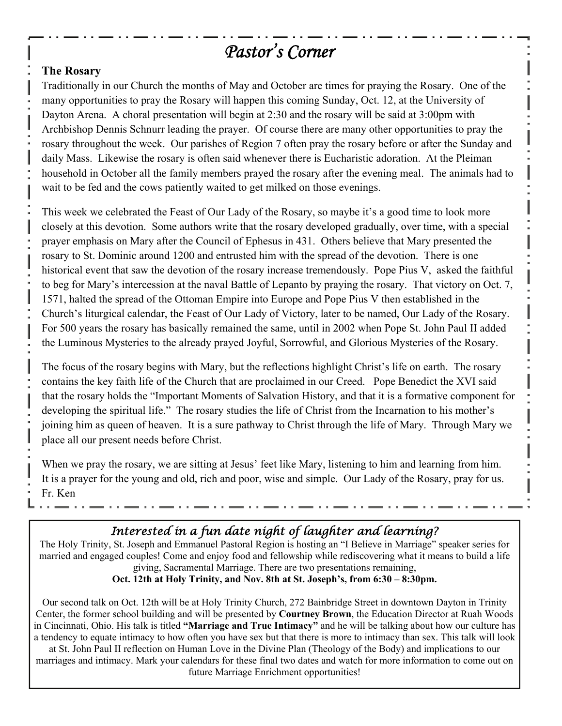# *Pastor's Corner*

### **The Rosary**

Traditionally in our Church the months of May and October are times for praying the Rosary. One of the many opportunities to pray the Rosary will happen this coming Sunday, Oct. 12, at the University of Dayton Arena. A choral presentation will begin at 2:30 and the rosary will be said at 3:00pm with Archbishop Dennis Schnurr leading the prayer. Of course there are many other opportunities to pray the rosary throughout the week. Our parishes of Region 7 often pray the rosary before or after the Sunday and daily Mass. Likewise the rosary is often said whenever there is Eucharistic adoration. At the Pleiman household in October all the family members prayed the rosary after the evening meal. The animals had to wait to be fed and the cows patiently waited to get milked on those evenings.

This week we celebrated the Feast of Our Lady of the Rosary, so maybe it's a good time to look more closely at this devotion. Some authors write that the rosary developed gradually, over time, with a special prayer emphasis on Mary after the Council of Ephesus in 431. Others believe that Mary presented the rosary to St. Dominic around 1200 and entrusted him with the spread of the devotion. There is one historical event that saw the devotion of the rosary increase tremendously. Pope Pius V, asked the faithful to beg for Mary's intercession at the naval Battle of Lepanto by praying the rosary. That victory on Oct. 7, 1571, halted the spread of the Ottoman Empire into Europe and Pope Pius V then established in the Church's liturgical calendar, the Feast of Our Lady of Victory, later to be named, Our Lady of the Rosary. For 500 years the rosary has basically remained the same, until in 2002 when Pope St. John Paul II added the Luminous Mysteries to the already prayed Joyful, Sorrowful, and Glorious Mysteries of the Rosary.

The focus of the rosary begins with Mary, but the reflections highlight Christ's life on earth. The rosary contains the key faith life of the Church that are proclaimed in our Creed. Pope Benedict the XVI said that the rosary holds the "Important Moments of Salvation History, and that it is a formative component for developing the spiritual life." The rosary studies the life of Christ from the Incarnation to his mother's joining him as queen of heaven. It is a sure pathway to Christ through the life of Mary. Through Mary we place all our present needs before Christ.

When we pray the rosary, we are sitting at Jesus' feet like Mary, listening to him and learning from him. It is a prayer for the young and old, rich and poor, wise and simple. Our Lady of the Rosary, pray for us. Fr. Ken

# *Interested in a fun date night of laughter and learning?*

The Holy Trinity, St. Joseph and Emmanuel Pastoral Region is hosting an "I Believe in Marriage" speaker series for married and engaged couples! Come and enjoy food and fellowship while rediscovering what it means to build a life giving, Sacramental Marriage. There are two presentations remaining,

### **Oct. 12th at Holy Trinity, and Nov. 8th at St. Joseph's, from 6:30 – 8:30pm.**

Our second talk on Oct. 12th will be at Holy Trinity Church, 272 Bainbridge Street in downtown Dayton in Trinity Center, the former school building and will be presented by **Courtney Brown**, the Education Director at Ruah Woods in Cincinnati, Ohio. His talk is titled **"Marriage and True Intimacy"** and he will be talking about how our culture has a tendency to equate intimacy to how often you have sex but that there is more to intimacy than sex. This talk will look at St. John Paul II reflection on Human Love in the Divine Plan (Theology of the Body) and implications to our marriages and intimacy. Mark your calendars for these final two dates and watch for more information to come out on

future Marriage Enrichment opportunities!